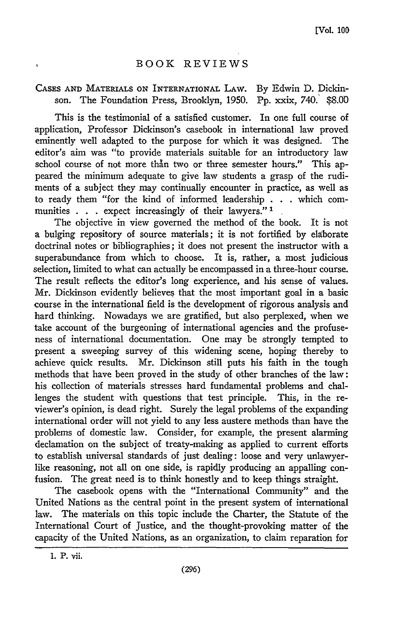## BOOK REVIEWS

## **CASES AND MATERIALS ON INTERNATIONAL LAW. By** Edwin **D.** Dickinson. The Foundation Press, Brooklyn, 1950. Pp. xxix, 740. \$8.00

This is the testimonial of a satisfied customer. In one full course of application, Professor Dickinson's casebook in international law proved eminently well adapted to the purpose for which it was designed. The editor's aim was "to provide materials suitable for an introductory law school course of not more than two or three semester hours." This appeared the minimum adequate to give law students a grasp of the rudiments of a subject they may continually encounter in practice, as well as to ready them "for the kind of informed leadership . . which communities . . . expect increasingly of their lawyers." **.**

The objective in view governed the method of the book. It is not a bulging repository of source materials; it is not fortified by elaborate doctrinal notes or bibliographies; it does not present the instructor with a superabundance from which to choose. It is, rather, a most judicious selection, limited to what can actually be encompassed in a three-hour course. The result reflects the editor's long experience, and his sense of values. Mr. Dickinson evidently believes that the most important goal in a basic course in the international field is the development of rigorous analysis and hard thinking. Nowadays we are gratified, but also perplexed, when we take account of the burgeoning of international agencies and the profuseness of international documentation. One may be strongly tempted to present a sweeping survey of this widening scene, hoping thereby to achieve quick results. Mr. Dickinson still puts his faith in the tough methods that have been proved in the study of other branches of the law: his collection of materials stresses hard fundamental problems and challenges the student with questions that test principle. This, in the reviewer's opinion, is dead right. Surely the legal problems of the expanding international order will not yield to any less austere methods than have the problems of domestic law. Consider, for example, the present alarming declamation on the subject of treaty-making as applied to current efforts to establish universal standards of just dealing: loose and very unlawyerlike reasoning, not all on one side, is rapidly producing an appalling confusion. The great need is to think honestly and to keep things straight.

The casebook opens with the "International Community" and the United Nations as the central point in the present system of international law. The materials on this topic include the Charter, the Statute of the International Court of Justice, and the thought-provoking matter of the capacity of the United Nations, as an organization, to claim reparation for

**<sup>1.</sup> P.** vii.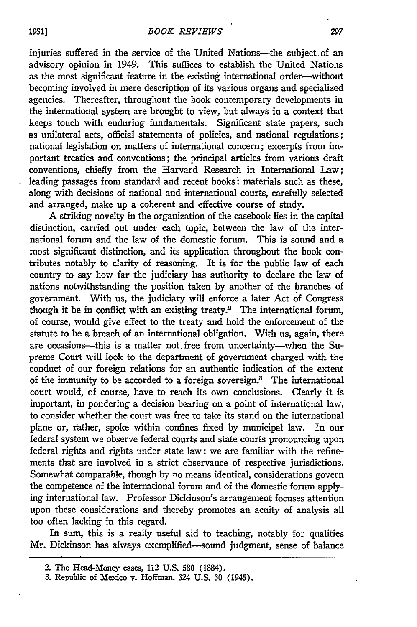injuries suffered in the service of the United Nations-the subject of an advisory opinion in 1949. This suffices to establish the United Nations as the most significant feature in the existing international order-without becoming involved in mere description of its various organs and specialized agencies. Thereafter, throughout the book contemporary developments in the international system are brought to view, but always in a context that keeps touch with enduring fundamentals. Significant state papers, such as unilateral acts, official statements of policies, and national regulations; national legislation on matters of international concern; excerpts from important treaties and conventions; the principal articles from various draft conventions, chiefly from the Harvard Research in International Law; leading passages from standard and recent books' materials such as these, along with decisions of national and international courts, carefully selected and arranged, make up a coherent and effective course of study.

A striking novelty in the organization of the casebook lies in the capital distinction, carried out under each topic, between the law of the international forum and the law of the domestic forum. This is sound and a most significant distinction, and its application throughout the book contributes notably to clarity of reasoning. It is for the public law of each country to say how far the judiciary has authority to declare the law of nations notwithstanding the position taken by another of the branches of government. With us, the judiciary will enforce a later Act of Congress though it be in conflict with an existing treaty.2 The international forum, of course, would give effect to the treaty and hold the enforcement of the statute to be a breach of an international obligation. With us, again, there are occasions-this is a matter not.free from uncertainty-when the Supreme Court will look to the department of government charged with the conduct of our foreign relations for an authentic indication of the extent of the immunity to be accorded to a foreign sovereign.<sup>3</sup> The international court would, of course, have to reach its own conclusions. Clearly it is important, in pondering a decision bearing on a point of international law, to consider whether the court was free to take its stand on the international plane or, father, spoke within confines fixed by municipal law. In our federal system we observe federal courts and state courts pronouncing upon federal rights and rights under state law: we are familiar with the refinements that are involved in a strict observance of respective jurisdictions. Somewhat comparable, though by no means identical, considerations govern the competence of the international forum and of the domestic forum applying international law. Professor Dickinson's arrangement focuses attention upon these considerations and thereby promotes an acuity of analysis all too often lacking in this regard.

In sum, this is a really useful aid to teaching, notably for qualities Mr. Dickinson has always exemplified-sound judgment, sense of balance

<sup>2.</sup> The Head-Money cases, 112 U.S. 580 (1884).

**<sup>3.</sup>** Republic of Mexico v. Hoffman, 324 **U.S. 30'** (1945).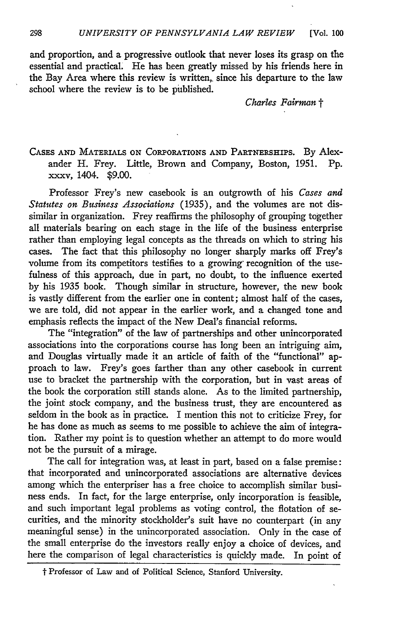and proportion, and a progressive outlook that never loses its grasp on the essential and practical. He has been greatly missed by his friends here in the Bay Area where this review is written, since his departure to the law school where the review is to be published.

*Charles Fairman* t

**CASES AND** MATERIALS **ON CORPORATIONS AND** PARTNERSHIPS. **By** Alexander H. Frey. Little, Brown and Company, Boston, 1951. **Pp.** xxxv, 1404. \$9.00.

Professor Frey's new casebook is an outgrowth of his *Cases and Statutes on Business Associations* (1935), and the volumes are not dissimilar in organization. Frey reaffirms the philosophy of grouping together all materials bearing on each stage in the life of the business enterprise rather than employing legal concepts as the threads on which to string his cases. The fact that this philosophy no longer sharply marks off Frey's volume from its competitors testifies to a growing recognition of the usefulness of this approach, due in part, no doubt, to the influence exerted **by** his 1935 book. Though similar in structure, however, the new book is vastly different from the earlier one in content; almost half of the cases, we are told, did not appear in the earlier work, and a changed tone and emphasis reflects the impact of the New Deal's financial reforms.

The "integration" of the law of partnerships and other unincorporated associations into the corporations course has long been an intriguing aim, and Douglas virtually made it an article of faith of the "functional" approach to law. Frey's goes farther than any other casebook in current use to bracket the partnership with the corporation, but in vast areas of the book the corporation still stands alone. As to the limited partnership, the joint stock company, and the business trust, they are encountered as seldom in the book as in practice. I mention this not to criticize Frey, for he has done as much as seems to me possible to achieve the aim of integration. Rather my point is to question whether an attempt to do more would not be the pursuit of a mirage.

The call for integration was, at least in part, based on a false premise: that incorporated and unincorporated associations are alternative devices among which the enterpriser has a free choice to accomplish similar business ends. In fact, for the large enterprise, only incorporation is feasible, and such important legal problems as voting control, the flotation of securities, and the minority stockholder's suit have no counterpart (in any meaningful sense) in the unincorporated association. Only in the case of the small enterprise do the investors really enjoy a choice of devices, and here the comparison of legal characteristics is quickly made. In point of

t Professor of Law and of Political Science, Stanford University.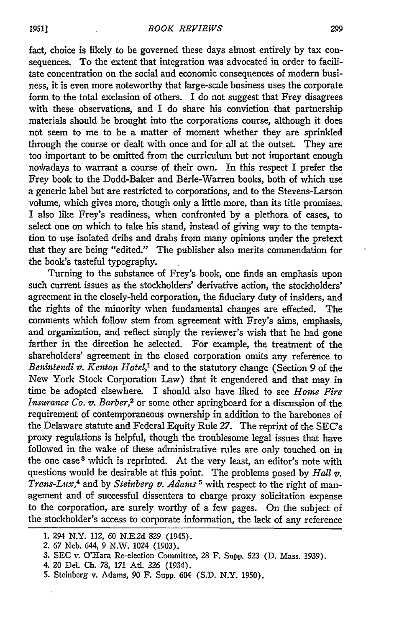fact, choice is likely to be governed these days almost entirely by tax consequences. To the extent that integration was advocated in order to facilitate concentration on the social and economic consequences of modern business, it is even more noteworthy that large-scale business uses the corporate form to the total exclusion of others. I do not suggest that Frey disagrees with these observations, and I do share his conviction that partnership materials should be brought into the corporations course, although it does not seem to me to be a matter of moment whether they are sprinkled through the course or dealt with once and for all at the outset. They are too important to be omitted from the curriculum but not important enough nowadays to warrant a course of their own. In this respect I prefer the Frey book to the Dodd-Baker and Berle-Warren books, both of which use a generic label but are restricted to corporations, and to the Stevens-Larson volume, which gives more, though only a little more, than its title promises. I also like Frey's readiness, when confronted by a plethora of cases, to select one on which to take his stand, instead of giving way to the temptation to use isolated dribs and drabs from many opinions under the pretext that they are being "edited." The publisher also merits commendation for the book's tasteful typography.

Turning to the substance of Frey's book, one finds an emphasis upon such current issues as the stockholders' derivative action, the stockholders' agreement in the closely-held corporation, the fiduciary duty of insiders, and the rights of the minority when fundamental changes are effected. The comments which follow stem from agreement with Frey's aims, emphasis, and organization, and reflect simply the reviewer's wish that he had gone farther in the direction he selected. For example, the treatment of the shareholders' agreement in the closed corporation omits any reference to *Benintendi v. Kenton Hotel,"* and to the statutory change (Section 9 of the New York Stock Corporation Law) that it engendered and that may in time be adopted elsewhere. I should also have liked to see *Home Fire Insurance Co. v. Barber,2* or some other springboard for a discussion of the requirement of contemporaneous ownership in addition to the barebones of the Delaware statute and Federal Equity Rule *27.* The reprint of the SEC's proxy regulations is helpful, though the troublesome legal issues that have followed in the wake of these administrative rules are only touched on in the one case<sup>3</sup> which is reprinted. At the very least, an editor's note with questions would be desirable at this point. The problems posed by *Hall v. Trans-Lux,4* and by *Steinberg v. Adams 5* with respect to the right of management and of successful dissenters to charge proxy solicitation expense to the corporation, are surely worthy of a few pages. On the subject of the stockholder's access to corporate information, the lack of any reference

4. 20 Del. Ch. 78, 171 Atl. 226 (1934).

<sup>1. 294</sup> N.Y. 112, **60** N.E.2d **829** (1945).

<sup>2. 67</sup> Neb. 644, 9 N.W. 1024 (1903).

<sup>3.</sup> SEC v. O'Hara Re-election Committee, 28 F. Supp. **523** (D. Mass. 1939).

**<sup>5.</sup>** Steinberg v. Adams, **90** F. Supp. 604 (S.D. N.Y. 1950).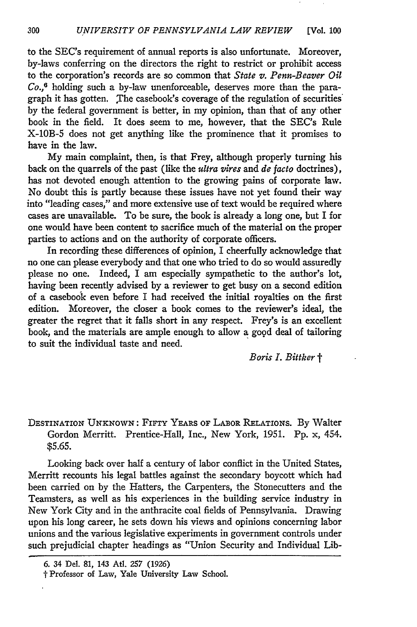to the SEC's requirement of annual reports is also unfortunate. Moreover, by-laws conferring on the directors the right to restrict or prohibit access to the corporation's records are so common that *State v. Penn-Beaver Oil Co.,6* holding such a by-law unenforceable, deserves more than the paragraph it has gotten. The casebook's coverage of the regulation of securities' by the federal government is better, in my opinion, than that of any other book in the field. It does seem to me, however, that the SEC's Rule X-10B-5 does not get anything like the prominence that it promises to have in the law.

My main complaint, then, is that Frey, although properly turning his back on the quarrels of the past (like the *ultra vires* and *de facto* doctrines), has not devoted enough attention to the growing pains of corporate law. No doubt this is partly because these issues have not yet found their way into "leading cases," and more extensive use of text would be required where cases are unavailable. To be sure, the book is already a long one, but I for one would have been content to sacrifice much of the material on the proper parties to actions and on the authority of corporate officers.

In recording these differences of opinion, I cheerfully acknowledge that no one can please everybody and that one who tried to do so would assuredly please no one. Indeed, I am especially sympathetic to the author's lot, having been recently advised by a reviewer to get busy on a second edition of a casebook even before I had received the initial royalties on the first edition. Moreover, the closer a book comes to the reviewer's ideal, the greater the regret that it falls short in any respect. Frey's is an excellent book, and the materials are ample enough to allow a gogd deal of tailoring to suit the individual taste and need.

*Boris I. Bittker* t

DESTINATION UNKNOWN: FIrTY YEARS OF LABOR RELATIONS. By Walter Gordon Merritt. Prentice-Hall, Inc., New York, 1951. Pp. x, 454. \$5.65.

Looking back over half a century of labor conflict in the United States, Merritt recounts his legal battles against the secondary boycott which had been carried on by the Hatters, the Carpenters, the Stonecutters and the Teamsters, as well as his experiences in the building service industry in New York City and in the anthracite coal fields of Pennsylvania. Drawing upon his long career, he sets down his views and opinions concerning labor unions and the various legislative experiments in government controls under such prejudicial chapter headings as "Union Security and Individual Lib-

**<sup>6.</sup>** 34 Del. 81, 143 Atl. 257 (1926)

<sup>-</sup>Professor of Law, Yale University Law School.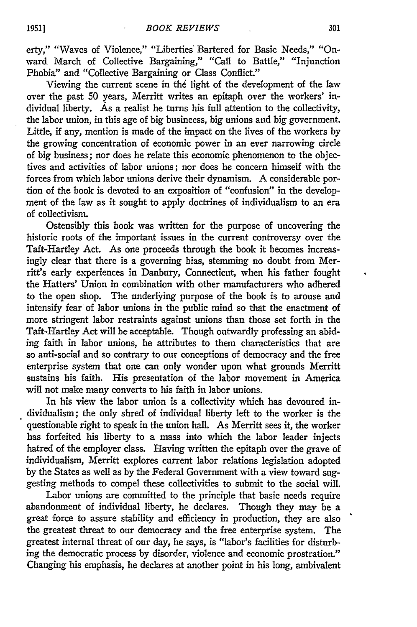erty," "Waves of Violence," "Liberties Bartered for Basic Needs," "Onward March of Collective Bargaining," "Call to Battle," "Injunction Phobia" and "Collective Bargaining or Class Conflict."

Viewing the current scene in thé light of the development of the law over the past 50 years, Merritt writes an epitaph over the workers' individual liberty. As a realist he turns his full attention to the collectivity, the labor union, in this age of big busineess, big unions and big government. Little, if any, mention is made of the impact on the lives of the workers by the growing concentration of economic power in an ever narrowing circle of big business; nor does he relate this economic phenomenon to the objectives and activities of labor unions; nor does he concern himself with the forces from which labor unions derive their dynamism. A considerable portion of the book is devoted to an exposition of "confusion" in the development of the law as it sought to apply doctrines of individualism to an era of collectivism.

Ostensibly this book was written for the purpose of uncovering the historic roots of the important issues in the current controversy over the Taft-Hartley Act. As one proceeds through the book it becomes increasingly clear that there is a governing bias, stemming no doubt from Merritt's early experiences in Danbury, Connecticut, when his father fought the Hatters' Union in combination with other manufacturers who adhered to the open shop. The underlying purpose of the book is to arouse and intensify fear of labor unions in the public mind so that the enactment of more stringent labor restraints against unions than those set forth in the Taft-Hartley Act will be acceptable. Though outwardly professing an abiding faith in labor unions, he attributes to them characteristics that are so anti-social and so contrary to our conceptions of democracy and the free enterprise system that one can only wonder upon what grounds Merritt sustains his faith. His presentation of the labor movement in America will not make many converts to his faith in labor unions.

In his view the labor union is a collectivity which has devoured individualism; the only shred of individual liberty left to the worker is the questionable right to speak in the union hall. As Merritt sees it, the worker has forfeited his liberty to a mass into which the labor leader injects hatred of the employer class. Having written the epitaph over the grave of individualism, Merritt explores current labor relations legislation adopted by the States as well as by the Federal Government with a view toward suggesting methods to compel these collectivities to submit to the social will.

Labor unions are committed to the principle that basic needs require abandonment of individual liberty, he declares. Though they may be a great force to assure stability and efficiency in production, they are also the greatest threat to our democracy and the free enterprise system. The greatest internal threat of our day, he says, is "labor's facilities for disturbing the democratic process by disorder, violence and economic prostration." Changing his emphasis, he declares at another point in his long, ambivalent

 $\bullet$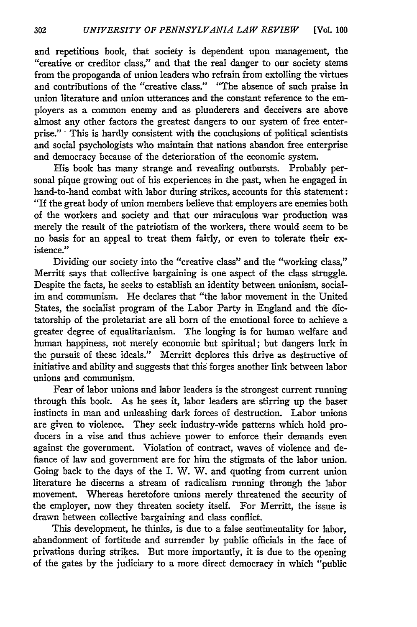and repetitious book, that society is dependent upon management, the "creative or creditor class," and that the real danger to our society stems from the propoganda of union leaders who refrain from extolling the virtues and contributions of the "creative class." "The absence of such praise in union literature and union utterances and the constant reference to the employers as a common enemy and as plunderers and deceivers are above almost any other factors the greatest dangers to our system of free enterprise." This is hardly consistent with the conclusions of political scientists and social psychologists who maintain that nations abandon free enterprise and democracy because of the deterioration of the economic system.

His book has many strange and revealing outbursts. Probably personal pique growing out of his experiences in the past, when he engaged in hand-to-hand combat with labor during strikes, accounts for this statement: "If the great body of union members believe that employers are enemies both of the workers and society and that our miraculous war production was merely the result of the patriotism of the workers, there would seem to be no basis for an appeal to treat them fairly, or even to tolerate their existence."

Dividing our society into the "creative class" and the "working class," Merritt says that collective bargaining is one aspect of the class struggle. Despite the facts, he seeks to establish an identity between unionism, socialim and communism. He declares that "the labor movement in the United States, the socialist program of the Labor Party in England and the dictatorship of the proletariat are all born of the emotional force to achieve a greater degree of equalitarianism. The longing is for human welfare and human happiness, not merely economic but spiritual; but dangers lurk in the pursuit of these ideals." Merritt deplores this drive as destructive of initiative and ability and suggests that this forges another link between labor unions and communism.

Fear of labor unions and labor leaders is the strongest current running through this book. As he sees it, labor leaders are stirring up the baser instincts in man and unleashing dark forces of destruction. Labor unions are given to violence. They seek industry-wide patterns which hold producers in a vise and thus achieve power to enforce their demands even against the government. Violation of contract, waves of violence and defiance of law and government are for him the stigmata of the labor union. Going back to the days of the I. W. W. and quoting from current union literature he discerns a stream of radicalism running through the labor movement. Whereas heretofore unions merely threatened the security of the employer, now they threaten society itself. For Merritt, the issue is drawn between collective bargaining and class conflict.

This development, he thinks, is due to a false sentimentality for labor, abandonment of fortitude and surrender by public officials in the face of privations during strikes. But more importantly, it is due to the opening of the gates by the judiciary to a more direct democracy in which "public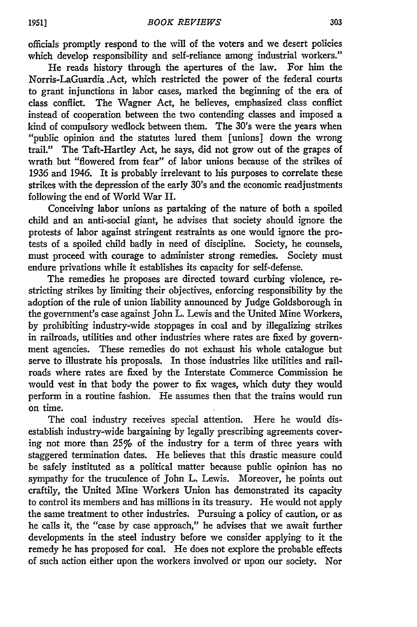officials promptly respond to the will of the voters and we desert policies which develop responsibility and self-reliance among industrial workers."

He reads history through the apertures of the law. For him the Norris-LaGuardia.Act, which restricted the power of the federal courts to grant injunctions in labor cases, marked the beginning of the era of class conflict. The Wagner Act, he believes, emphasized class conflict instead of cooperation between the two contending classes and imposed a kind of compulsory wedlock between them. The 30's were the years when "public opinion and the statutes lured them [unions] down the wrong trail." The Taft-Hartley Act, he says, did not grow out of the grapes of wrath but "flowered from fear" of labor unions because of the strikes of 1936 and 1946. It is probably irrelevant to his purposes to correlate these strikes with the depression of the early 30's and the economic readjustments following the end of World War II.

Conceiving labor unions as partaking of the nature of both a spoiled child and an anti-social giant, he advises that society should ignore the protests of labor against stringent restraints as one would ignore the protests of a spoiled child badly in need of discipline. Society, he counsels, must proceed with courage to administer strong remedies. Society must endure privations while it establishes its capacity for self-defense.

The remedies he proposes are directed toward curbing violence, restricting strikes by limiting their objectives, enforcing responsibility by the adoption of the rule of union liability announced by Judge Goldsborough in the government's case against John L. Lewis and the United Mine Workers, by prohibiting industry-wide stoppages in coal and **by** illegalizing strikes in railroads, utilities and other industries where rates are fixed by government agencies. These remedies do not exhaust his whole catalogue but serve to illustrate his proposals. In those industries like utilities and railroads where rates are fixed by the Interstate Commerce Commission he would vest in that body the power to fix wages, which duty they would perform in a routine fashion. He assumes then that the trains would run on time.

The coal industry receives special attention. Here he would disestablish industry-wide bargaining by legally prescribing agreements covering not more than 25% of the industry for a term of three years with staggered termination dates. He believes that this drastic measure could be safely instituted as a political matter because public opinion has no sympathy for the truculence of John L. Lewis. Moreover, he points out craftily, the United Mine Workers Union has demonstrated its capacity to control its members and has millions in its treasury. He would not apply the same treatment to other industries. Pursuing a policy of caution, or as he calls it, the "case by case approach," he advises that we await further developments in the steel industry before we consider applying to it the remedy he has proposed for coal. He does not explore the probable effects of such action either upon the workers involved or upon our society. Nor